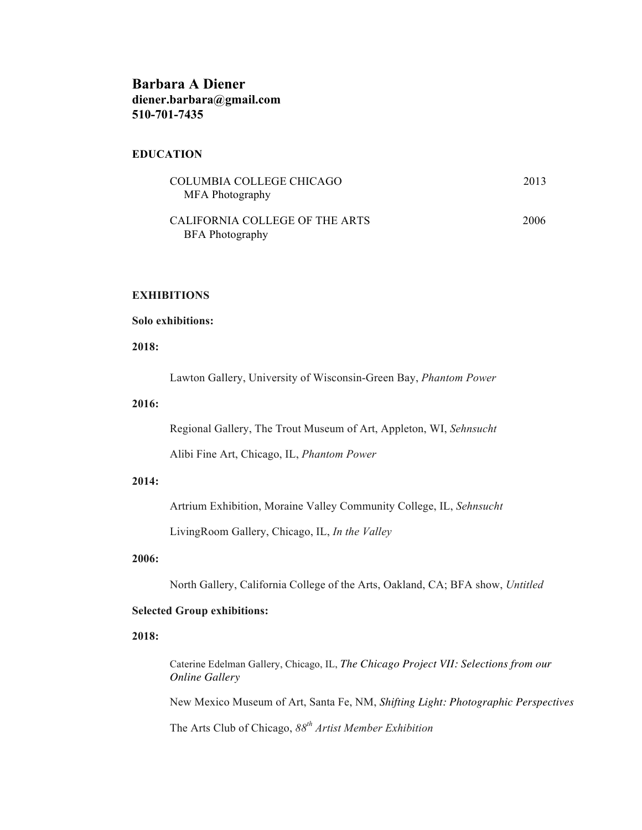# **Barbara A Diener diener.barbara@gmail.com 510-701-7435**

### **EDUCATION**

| COLUMBIA COLLEGE CHICAGO       | 2013 |
|--------------------------------|------|
| MFA Photography                |      |
|                                |      |
| CALIFORNIA COLLEGE OF THE ARTS | 2006 |
| <b>BFA</b> Photography         |      |

# **EXHIBITIONS**

### **Solo exhibitions:**

**2018:**

Lawton Gallery, University of Wisconsin-Green Bay, *Phantom Power*

### **2016:**

Regional Gallery, The Trout Museum of Art, Appleton, WI, *Sehnsucht*

Alibi Fine Art, Chicago, IL, *Phantom Power*

#### **2014:**

Artrium Exhibition, Moraine Valley Community College, IL, *Sehnsucht*

LivingRoom Gallery, Chicago, IL, *In the Valley*

### **2006:**

North Gallery, California College of the Arts, Oakland, CA; BFA show, *Untitled*

#### **Selected Group exhibitions:**

**2018:**

Caterine Edelman Gallery, Chicago, IL, *The Chicago Project VII: Selections from our Online Gallery* New Mexico Museum of Art, Santa Fe, NM, *Shifting Light: Photographic Perspectives*

The Arts Club of Chicago, *88th Artist Member Exhibition*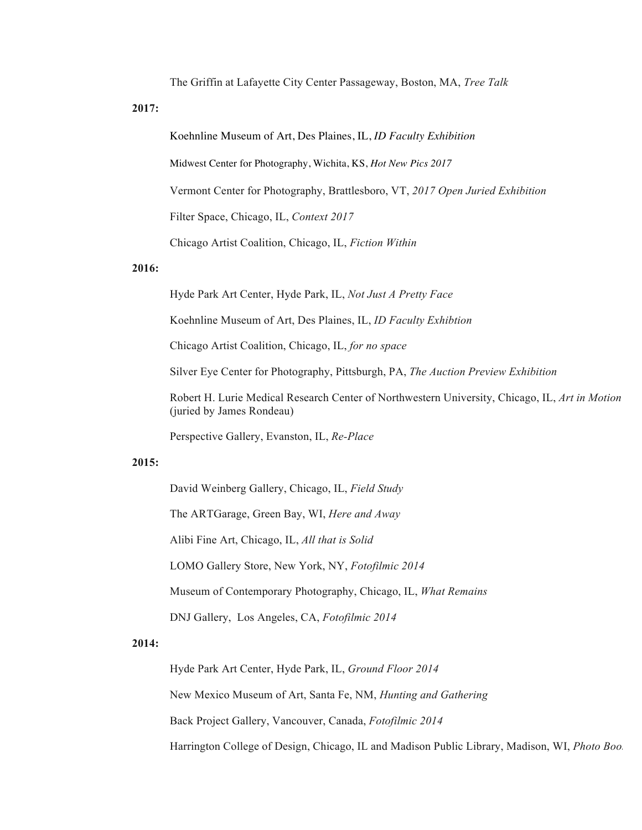The Griffin at Lafayette City Center Passageway, Boston, MA, *Tree Talk*

**2017:**

Koehnline Museum of Art, Des Plaines, IL, *ID Faculty Exhibition*

Midwest Center for Photography, Wichita, KS, *Hot New Pics 2017*

Vermont Center for Photography, Brattlesboro, VT, *2017 Open Juried Exhibition*

Filter Space, Chicago, IL, *Context 2017* 

Chicago Artist Coalition, Chicago, IL, *Fiction Within*

### **2016:**

Hyde Park Art Center, Hyde Park, IL, *Not Just A Pretty Face*

Koehnline Museum of Art, Des Plaines, IL, *ID Faculty Exhibtion*

Chicago Artist Coalition, Chicago, IL, *for no space*

Silver Eye Center for Photography, Pittsburgh, PA, *The Auction Preview Exhibition*

Robert H. Lurie Medical Research Center of Northwestern University, Chicago, IL, *Art in Motion* (juried by James Rondeau)

Perspective Gallery, Evanston, IL, *Re-Place*

### **2015:**

David Weinberg Gallery, Chicago, IL, *Field Study* 

The ARTGarage, Green Bay, WI, *Here and Away*

Alibi Fine Art, Chicago, IL, *All that is Solid*

LOMO Gallery Store, New York, NY, *Fotofilmic 2014*

Museum of Contemporary Photography, Chicago, IL, *What Remains*

DNJ Gallery, Los Angeles, CA, *Fotofilmic 2014*

### **2014:**

Hyde Park Art Center, Hyde Park, IL, *Ground Floor 2014* New Mexico Museum of Art, Santa Fe, NM, *Hunting and Gathering* Back Project Gallery, Vancouver, Canada, *Fotofilmic 2014* Harrington College of Design, Chicago, IL and Madison Public Library, Madison, WI, Photo Boo.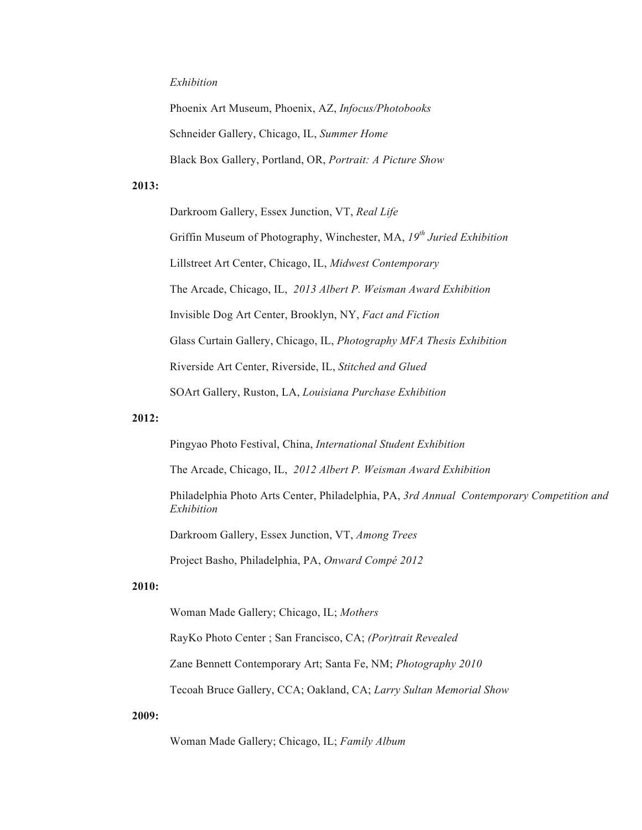### *Exhibition*

Phoenix Art Museum, Phoenix, AZ, *Infocus/Photobooks* Schneider Gallery, Chicago, IL, *Summer Home* Black Box Gallery, Portland, OR, *Portrait: A Picture Show*

### **2013:**

Darkroom Gallery, Essex Junction, VT, *Real Life* Griffin Museum of Photography, Winchester, MA, *19th Juried Exhibition* Lillstreet Art Center, Chicago, IL, *Midwest Contemporary* The Arcade, Chicago, IL, *2013 Albert P. Weisman Award Exhibition* Invisible Dog Art Center, Brooklyn, NY, *Fact and Fiction* Glass Curtain Gallery, Chicago, IL, *Photography MFA Thesis Exhibition* Riverside Art Center, Riverside, IL, *Stitched and Glued* SOArt Gallery, Ruston, LA, *Louisiana Purchase Exhibition*

### **2012:**

Pingyao Photo Festival, China, *International Student Exhibition*

The Arcade, Chicago, IL, *2012 Albert P. Weisman Award Exhibition*

Philadelphia Photo Arts Center, Philadelphia, PA, *3rd Annual Contemporary Competition and Exhibition*

Darkroom Gallery, Essex Junction, VT, *Among Trees*

Project Basho, Philadelphia, PA, *Onward Compé 2012*

#### **2010:**

Woman Made Gallery; Chicago, IL; *Mothers*

RayKo Photo Center ; San Francisco, CA; *(Por)trait Revealed*

Zane Bennett Contemporary Art; Santa Fe, NM; *Photography 2010*

Tecoah Bruce Gallery, CCA; Oakland, CA; *Larry Sultan Memorial Show*

### **2009:**

Woman Made Gallery; Chicago, IL; *Family Album*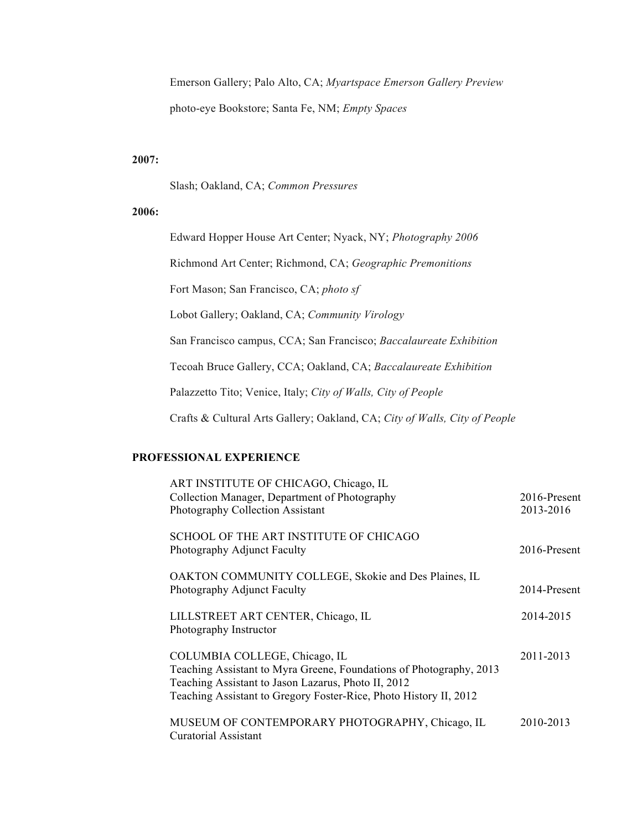Emerson Gallery; Palo Alto, CA; *Myartspace Emerson Gallery Preview* photo-eye Bookstore; Santa Fe, NM; *Empty Spaces*

### **2007:**

Slash; Oakland, CA; *Common Pressures*

### **2006:**

Edward Hopper House Art Center; Nyack, NY; *Photography 2006* Richmond Art Center; Richmond, CA; *Geographic Premonitions* Fort Mason; San Francisco, CA; *photo sf* Lobot Gallery; Oakland, CA; *Community Virology* San Francisco campus, CCA; San Francisco; *Baccalaureate Exhibition* Tecoah Bruce Gallery, CCA; Oakland, CA; *Baccalaureate Exhibition* Palazzetto Tito; Venice, Italy; *City of Walls, City of People* Crafts & Cultural Arts Gallery; Oakland, CA; *City of Walls, City of People*

### **PROFESSIONAL EXPERIENCE**

| ART INSTITUTE OF CHICAGO, Chicago, IL<br>Collection Manager, Department of Photography<br>Photography Collection Assistant                                                                                                       | 2016-Present<br>2013-2016 |
|----------------------------------------------------------------------------------------------------------------------------------------------------------------------------------------------------------------------------------|---------------------------|
| SCHOOL OF THE ART INSTITUTE OF CHICAGO<br>Photography Adjunct Faculty                                                                                                                                                            | 2016-Present              |
| OAKTON COMMUNITY COLLEGE, Skokie and Des Plaines, IL<br>Photography Adjunct Faculty                                                                                                                                              | 2014-Present              |
| LILLSTREET ART CENTER, Chicago, IL<br>Photography Instructor                                                                                                                                                                     | 2014-2015                 |
| COLUMBIA COLLEGE, Chicago, IL<br>Teaching Assistant to Myra Greene, Foundations of Photography, 2013<br>Teaching Assistant to Jason Lazarus, Photo II, 2012<br>Teaching Assistant to Gregory Foster-Rice, Photo History II, 2012 | 2011-2013                 |
| MUSEUM OF CONTEMPORARY PHOTOGRAPHY, Chicago, IL<br><b>Curatorial Assistant</b>                                                                                                                                                   | 2010-2013                 |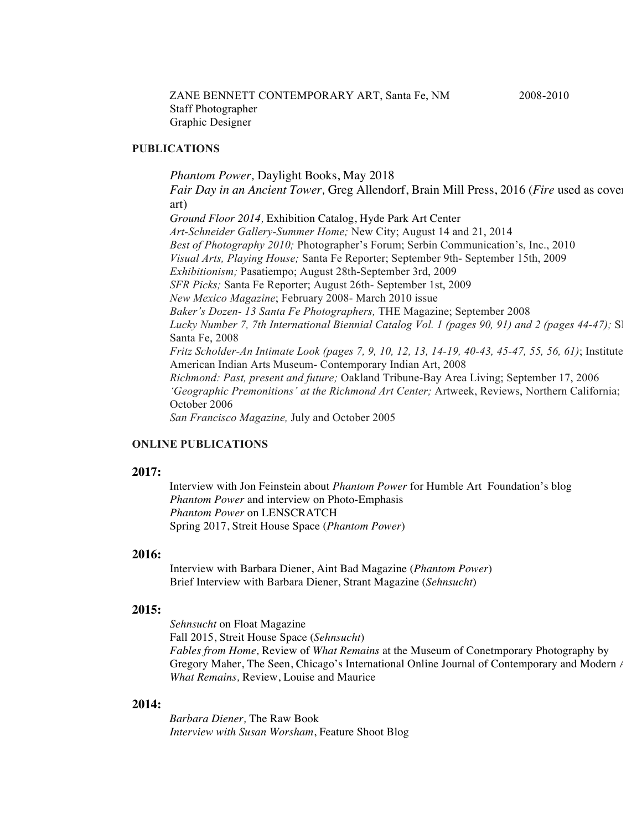### **PUBLICATIONS**

*Phantom Power,* Daylight Books, May 2018

*Fair Day in an Ancient Tower,* Greg Allendorf, Brain Mill Press, 2016 (*Fire* used as cover art) *Ground Floor 2014,* Exhibition Catalog, Hyde Park Art Center

*Art-Schneider Gallery-Summer Home;* New City; August 14 and 21, 2014 *Best of Photography 2010;* Photographer's Forum; Serbin Communication's, Inc., 2010 *Visual Arts, Playing House;* Santa Fe Reporter; September 9th- September 15th, 2009 *Exhibitionism;* Pasatiempo; August 28th-September 3rd, 2009 *SFR Picks;* Santa Fe Reporter; August 26th- September 1st, 2009 *New Mexico Magazine*; February 2008- March 2010 issue *Baker's Dozen- 13 Santa Fe Photographers,* THE Magazine; September 2008 *Lucky Number 7, 7th International Biennial Catalog Vol. 1 (pages 90, 91) and 2 (pages 44-47);* Sl Santa Fe, 2008 *Fritz Scholder-An Intimate Look (pages 7, 9, 10, 12, 13, 14-19, 40-43, 45-47, 55, 56, 61)*; Institute American Indian Arts Museum- Contemporary Indian Art, 2008 *Richmond: Past, present and future;* Oakland Tribune-Bay Area Living; September 17, 2006 *'Geographic Premonitions' at the Richmond Art Center;* Artweek, Reviews, Northern California; October 2006 *San Francisco Magazine,* July and October 2005

### **ONLINE PUBLICATIONS**

### **2017:**

Interview with Jon Feinstein about *Phantom Power* for Humble Art Foundation's blog *Phantom Power* and interview on Photo-Emphasis *Phantom Power* on LENSCRATCH Spring 2017, Streit House Space (*Phantom Power*)

### **2016:**

Interview with Barbara Diener, Aint Bad Magazine (*Phantom Power*) Brief Interview with Barbara Diener, Strant Magazine (*Sehnsucht*)

#### **2015:**

*Sehnsucht* on Float Magazine Fall 2015, Streit House Space (*Sehnsucht*) *Fables from Home,* Review of *What Remains* at the Museum of Conetmporary Photography by Gregory Maher, The Seen, Chicago's International Online Journal of Contemporary and Modern Arthur *What Remains,* Review, Louise and Maurice

### **2014:**

*Barbara Diener,* The Raw Book *Interview with Susan Worsham*, Feature Shoot Blog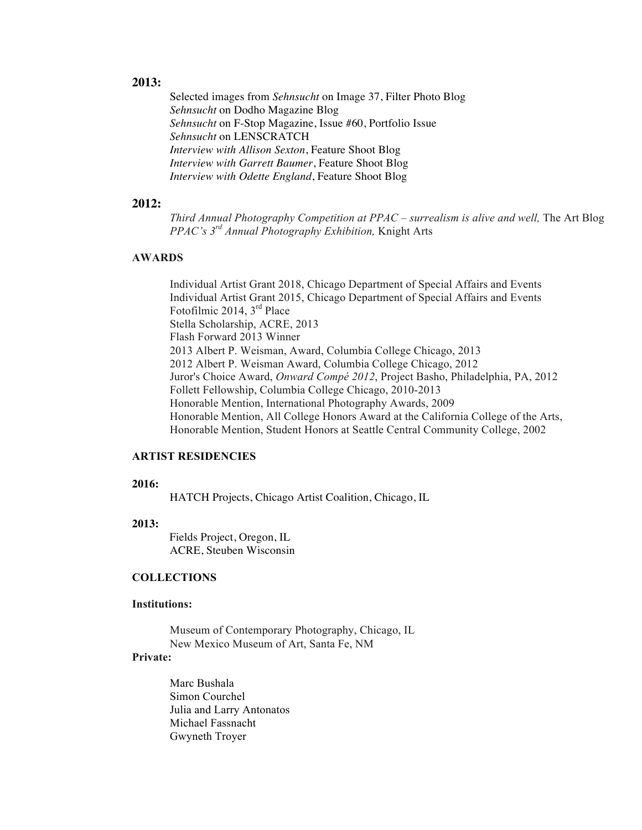# **2013:**

 Selected images from *Sehnsucht* on Image 37, Filter Photo Blog *Sehnsucht* on Dodho Magazine Blog *Sehnsucht* on F-Stop Magazine, Issue #60, Portfolio Issue *Sehnsucht* on LENSCRATCH *Interview with Allison Sexton*, Feature Shoot Blog *Interview with Garrett Baumer*, Feature Shoot Blog *Interview with Odette England*, Feature Shoot Blog

### **2012:**

*Third Annual Photography Competition at PPAC – surrealism is alive and well,* The Art Blog *PPAC's 3rd Annual Photography Exhibition,* Knight Arts

# **AWARDS**

Individual Artist Grant 2018, Chicago Department of Special Affairs and Events Individual Artist Grant 2015, Chicago Department of Special Affairs and Events Fotofilmic 2014, 3rd Place Stella Scholarship, ACRE, 2013 Flash Forward 2013 Winner 2013 Albert P. Weisman, Award, Columbia College Chicago, 2013 2012 Albert P. Weisman Award, Columbia College Chicago, 2012 Juror's Choice Award, *Onward Compé 2012*, Project Basho, Philadelphia, PA, 2012 Follett Fellowship, Columbia College Chicago, 2010-2013 Honorable Mention, International Photography Awards, 2009 Honorable Mention, All College Honors Award at the California College of the Arts, Honorable Mention, Student Honors at Seattle Central Community College, 2002

#### **ARTIST RESIDENCIES**

#### **2016:**

HATCH Projects, Chicago Artist Coalition, Chicago, IL

#### **2013:**

Fields Project, Oregon, IL ACRE, Steuben Wisconsin

### **COLLECTIONS**

#### **Institutions:**

Museum of Contemporary Photography, Chicago, IL New Mexico Museum of Art, Santa Fe, NM

# **Private:**

Marc Bushala Simon Courchel Julia and Larry Antonatos Michael Fassnacht Gwyneth Troyer